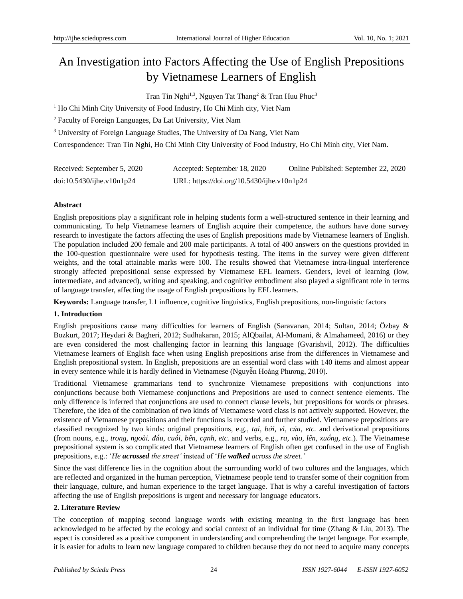# An Investigation into Factors Affecting the Use of English Prepositions by Vietnamese Learners of English

Tran Tin Nghi<sup>1,3</sup>, Nguyen Tat Thang<sup>2</sup> & Tran Huu Phuc<sup>3</sup>

<sup>1</sup> Ho Chi Minh City University of Food Industry, Ho Chi Minh city, Viet Nam

<sup>2</sup> Faculty of Foreign Languages, Da Lat University, Viet Nam

<sup>3</sup> University of Foreign Language Studies, The University of Da Nang, Viet Nam

Correspondence: Tran Tin Nghi, Ho Chi Minh City University of Food Industry, Ho Chi Minh city, Viet Nam.

| Received: September 5, 2020     | Accepted: September 18, 2020               | Online Published: September 22, 2020 |
|---------------------------------|--------------------------------------------|--------------------------------------|
| $doi:10.5430/ij$ he.v $10n1p24$ | URL: https://doi.org/10.5430/ijhe.v10n1p24 |                                      |

## **Abstract**

English prepositions play a significant role in helping students form a well-structured sentence in their learning and communicating. To help Vietnamese learners of English acquire their competence, the authors have done survey research to investigate the factors affecting the uses of English prepositions made by Vietnamese learners of English. The population included 200 female and 200 male participants. A total of 400 answers on the questions provided in the 100-question questionnaire were used for hypothesis testing. The items in the survey were given different weights, and the total attainable marks were 100. The results showed that Vietnamese intra-lingual interference strongly affected prepositional sense expressed by Vietnamese EFL learners. Genders, level of learning (low, intermediate, and advanced), writing and speaking, and cognitive embodiment also played a significant role in terms of language transfer, affecting the usage of English prepositions by EFL learners.

**Keywords:** Language transfer, L1 influence, cognitive linguistics, English prepositions, non-linguistic factors

## **1. Introduction**

English prepositions cause many difficulties for learners of English (Saravanan, 2014; Sultan, 2014; Özbay & Bozkurt, 2017; Heydari & Bagheri, 2012; Sudhakaran, 2015; AlQbailat, Al-Momani, & Almahameed, 2016) or they are even considered the most challenging factor in learning this language (Gvarishvil, 2012). The difficulties Vietnamese learners of English face when using English prepositions arise from the differences in Vietnamese and English prepositional system. In English, prepositions are an essential word class with 140 items and almost appear in every sentence while it is hardly defined in Vietnamese (Nguyễn Hoàng Phương, 2010).

Traditional Vietnamese grammarians tend to synchronize Vietnamese prepositions with conjunctions into conjunctions because both Vietnamese conjunctions and Prepositions are used to connect sentence elements. The only difference is inferred that conjunctions are used to connect clause levels, but prepositions for words or phrases. Therefore, the idea of the combination of two kinds of Vietnamese word class is not actively supported. However, the existence of Vietnamese prepositions and their functions is recorded and further studied. Vietnamese prepositions are classified recognized by two kinds: original prepositions, e.g., *tại, bởi, vì, của, etc.* and derivational prepositions (from nouns, e.g., *trong, ngoài, đầu, cuối, bên, cạnh, etc*. and verbs, e.g., *ra, vào, lên, xuống, etc.*). The Vietnamese prepositional system is so complicated that Vietnamese learners of English often get confused in the use of English prepositions, e.g.: '*He acrossed the street'* instead of '*He walked across the street.'*

Since the vast difference lies in the cognition about the surrounding world of two cultures and the languages, which are reflected and organized in the human perception, Vietnamese people tend to transfer some of their cognition from their language, culture, and human experience to the target language. That is why a careful investigation of factors affecting the use of English prepositions is urgent and necessary for language educators.

## **2. Literature Review**

The conception of mapping second language words with existing meaning in the first language has been acknowledged to be affected by the ecology and social context of an individual for time (Zhang & Liu, 2013). The aspect is considered as a positive component in understanding and comprehending the target language. For example, it is easier for adults to learn new language compared to children because they do not need to acquire many concepts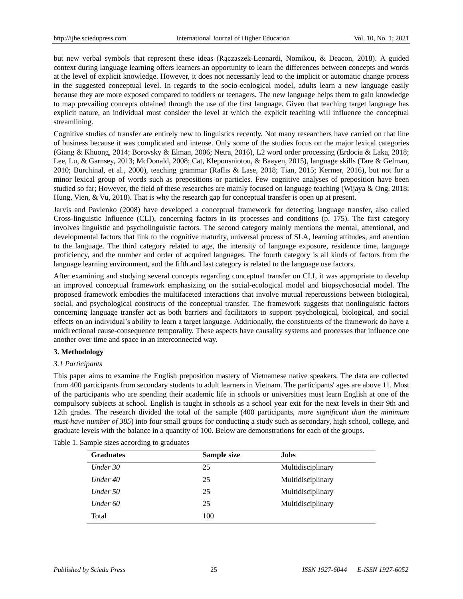but new verbal symbols that represent these ideas (Rączaszek-Leonardi, Nomikou, & Deacon, 2018). A guided context during language learning offers learners an opportunity to learn the differences between concepts and words at the level of explicit knowledge. However, it does not necessarily lead to the implicit or automatic change process in the suggested conceptual level. In regards to the socio-ecological model, adults learn a new language easily because they are more exposed compared to toddlers or teenagers. The new language helps them to gain knowledge to map prevailing concepts obtained through the use of the first language. Given that teaching target language has explicit nature, an individual must consider the level at which the explicit teaching will influence the conceptual streamlining.

Cognitive studies of transfer are entirely new to linguistics recently. Not many researchers have carried on that line of business because it was complicated and intense. Only some of the studies focus on the major lexical categories (Giang & Khuong, 2014; Borovsky & Elman, 2006; Netra, 2016), L2 word order processing (Erdocia & Laka, 2018; Lee, Lu, & Garnsey, 2013; McDonald, 2008; Cat, Klepousniotou, & Baayen, 2015), language skills (Tare & Gelman, 2010; Burchinal, et al., 2000), teaching grammar (Raflis & Lase, 2018; Tian, 2015; Kermer, 2016), but not for a minor lexical group of words such as prepositions or particles. Few cognitive analyses of preposition have been studied so far; However, the field of these researches are mainly focused on language teaching (Wijaya & Ong, 2018; Hung, Vien, & Vu, 2018). That is why the research gap for conceptual transfer is open up at present.

Jarvis and Pavlenko (2008) have developed a conceptual framework for detecting language transfer, also called Cross-linguistic Influence (CLI), concerning factors in its processes and conditions (p. 175). The first category involves linguistic and psycholinguistic factors. The second category mainly mentions the mental, attentional, and developmental factors that link to the cognitive maturity, universal process of SLA, learning attitudes, and attention to the language. The third category related to age, the intensity of language exposure, residence time, language proficiency, and the number and order of acquired languages. The fourth category is all kinds of factors from the language learning environment, and the fifth and last category is related to the language use factors.

After examining and studying several concepts regarding conceptual transfer on CLI, it was appropriate to develop an improved conceptual framework emphasizing on the social-ecological model and biopsychosocial model. The proposed framework embodies the multifaceted interactions that involve mutual repercussions between biological, social, and psychological constructs of the conceptual transfer. The framework suggests that nonlinguistic factors concerning language transfer act as both barriers and facilitators to support psychological, biological, and social effects on an individual's ability to learn a target language. Additionally, the constituents of the framework do have a unidirectional cause-consequence temporality. These aspects have causality systems and processes that influence one another over time and space in an interconnected way.

#### **3. Methodology**

#### *3.1 Participants*

This paper aims to examine the English preposition mastery of Vietnamese native speakers. The data are collected from 400 participants from secondary students to adult learners in Vietnam. The participants' ages are above 11. Most of the participants who are spending their academic life in schools or universities must learn English at one of the compulsory subjects at school. English is taught in schools as a school year exit for the next levels in their 9th and 12th grades. The research divided the total of the sample (400 participants, *more significant than the minimum must-have number of 385*) into four small groups for conducting a study such as secondary, high school, college, and graduate levels with the balance in a quantity of 100. Below are demonstrations for each of the groups.

| <b>Graduates</b> | Sample size | Jobs              |
|------------------|-------------|-------------------|
| Under 30         | 25          | Multidisciplinary |
| Under 40         | 25          | Multidisciplinary |
| Under 50         | 25          | Multidisciplinary |
| Under 60         | 25          | Multidisciplinary |
| Total            | 100         |                   |

Table 1. Sample sizes according to graduates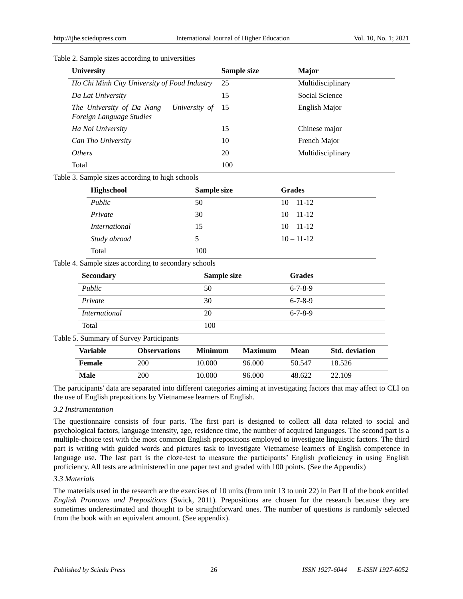#### Table 2. Sample sizes according to universities

| University                                                                 | Sample size | <b>Major</b>      |
|----------------------------------------------------------------------------|-------------|-------------------|
| Ho Chi Minh City University of Food Industry                               | 25          | Multidisciplinary |
| Da Lat University                                                          | 15          | Social Science    |
| The University of Da Nang – University of $15$<br>Foreign Language Studies |             | English Major     |
| Ha Noi University                                                          | 15          | Chinese major     |
| Can Tho University                                                         | 10          | French Major      |
| <i>Others</i>                                                              | 20          | Multidisciplinary |
| Total                                                                      | 100         |                   |

Table 3. Sample sizes according to high schools

| <b>Highschool</b>    | Sample size | <b>Grades</b>  |  |
|----------------------|-------------|----------------|--|
| Public               | 50          | $10 - 11 - 12$ |  |
| Private              | 30          | $10 - 11 - 12$ |  |
| <i>International</i> | 15          | $10 - 11 - 12$ |  |
| Study abroad         | 5           | $10 - 11 - 12$ |  |
| Total                | 100         |                |  |

Table 4. Sample sizes according to secondary schools

| <b>Secondary</b>                  | Sample size | <b>Grades</b>   |  |
|-----------------------------------|-------------|-----------------|--|
| Public                            | 50          | $6 - 7 - 8 - 9$ |  |
| Private                           | 30          | $6 - 7 - 8 - 9$ |  |
| International                     | 20          | $6 - 7 - 8 - 9$ |  |
| Total                             | 100         |                 |  |
| 5. Summary of Survey Particinants |             |                 |  |

Table 5. Summary of Survey

| Variable | <b>Observations</b> | Minimum | Maximum | Mean   | <b>Std.</b> deviation |
|----------|---------------------|---------|---------|--------|-----------------------|
| Female   | 200                 | 10.000  | 96.000  | 50.547 | 18.526                |
| Male     | 200                 | 10.000  | 96.000  | 48.622 | 22.109                |

The participants' data are separated into different categories aiming at investigating factors that may affect to CLI on the use of English prepositions by Vietnamese learners of English.

#### *3.2 Instrumentation*

The questionnaire consists of four parts. The first part is designed to collect all data related to social and psychological factors, language intensity, age, residence time, the number of acquired languages. The second part is a multiple-choice test with the most common English prepositions employed to investigate linguistic factors. The third part is writing with guided words and pictures task to investigate Vietnamese learners of English competence in language use. The last part is the cloze-test to measure the participants' English proficiency in using English proficiency. All tests are administered in one paper test and graded with 100 points. (See the Appendix)

## *3.3 Materials*

The materials used in the research are the exercises of 10 units (from unit 13 to unit 22) in Part II of the book entitled *English Pronouns and Prepositions* (Swick, 2011)*.* Prepositions are chosen for the research because they are sometimes underestimated and thought to be straightforward ones. The number of questions is randomly selected from the book with an equivalent amount. (See appendix).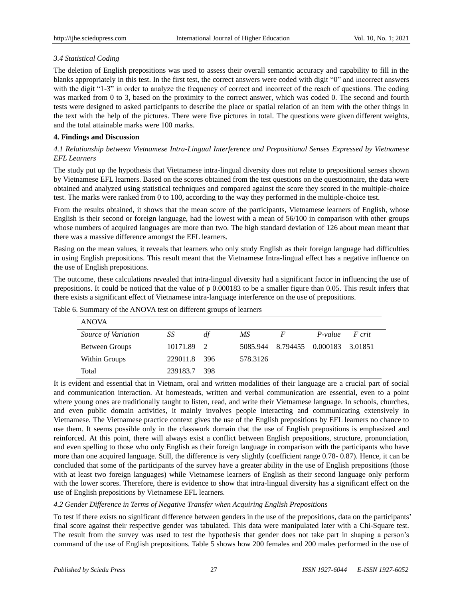# *3.4 Statistical Coding*

The deletion of English prepositions was used to assess their overall semantic accuracy and capability to fill in the blanks appropriately in this test. In the first test, the correct answers were coded with digit "0" and incorrect answers with the digit "1-3" in order to analyze the frequency of correct and incorrect of the reach of questions. The coding was marked from 0 to 3, based on the proximity to the correct answer, which was coded 0. The second and fourth tests were designed to asked participants to describe the place or spatial relation of an item with the other things in the text with the help of the pictures. There were five pictures in total. The questions were given different weights, and the total attainable marks were 100 marks.

## **4. Findings and Discussion**

## *4.1 Relationship between Vietnamese Intra-Lingual Interference and Prepositional Senses Expressed by Vietnamese EFL Learners*

The study put up the hypothesis that Vietnamese intra-lingual diversity does not relate to prepositional senses shown by Vietnamese EFL learners. Based on the scores obtained from the test questions on the questionnaire, the data were obtained and analyzed using statistical techniques and compared against the score they scored in the multiple-choice test. The marks were ranked from 0 to 100, according to the way they performed in the multiple-choice test.

From the results obtained, it shows that the mean score of the participants, Vietnamese learners of English, whose English is their second or foreign language, had the lowest with a mean of 56/100 in comparison with other groups whose numbers of acquired languages are more than two. The high standard deviation of 126 about mean meant that there was a massive difference amongst the EFL learners.

Basing on the mean values, it reveals that learners who only study English as their foreign language had difficulties in using English prepositions. This result meant that the Vietnamese Intra-lingual effect has a negative influence on the use of English prepositions.

The outcome, these calculations revealed that intra-lingual diversity had a significant factor in influencing the use of prepositions. It could be noticed that the value of p 0.000183 to be a smaller figure than 0.05. This result infers that there exists a significant effect of Vietnamese intra-language interference on the use of prepositions.

| <b>ANOVA</b>        |              |      |          |   |                             |        |
|---------------------|--------------|------|----------|---|-----------------------------|--------|
| Source of Variation | SS           | df   | МS       | F | $P-value$                   | F crit |
| Between Groups      | 10171.89 2   |      | 5085.944 |   | 8.794455  0.000183  3.01851 |        |
| Within Groups       | 229011.8 396 |      | 578.3126 |   |                             |        |
| Total               | 239183.7     | -398 |          |   |                             |        |

Table 6. Summary of the ANOVA test on different groups of learners

It is evident and essential that in Vietnam, oral and written modalities of their language are a crucial part of social and communication interaction. At homesteads, written and verbal communication are essential, even to a point where young ones are traditionally taught to listen, read, and write their Vietnamese language. In schools, churches, and even public domain activities, it mainly involves people interacting and communicating extensively in Vietnamese. The Vietnamese practice context gives the use of the English prepositions by EFL learners no chance to use them. It seems possible only in the classwork domain that the use of English prepositions is emphasized and reinforced. At this point, there will always exist a conflict between English prepositions, structure, pronunciation, and even spelling to those who only English as their foreign language in comparison with the participants who have more than one acquired language. Still, the difference is very slightly (coefficient range 0.78- 0.87). Hence, it can be concluded that some of the participants of the survey have a greater ability in the use of English prepositions (those with at least two foreign languages) while Vietnamese learners of English as their second language only perform with the lower scores. Therefore, there is evidence to show that intra-lingual diversity has a significant effect on the use of English prepositions by Vietnamese EFL learners.

# *4.2 Gender Difference in Terms of Negative Transfer when Acquiring English Prepositions*

To test if there exists no significant difference between genders in the use of the prepositions, data on the participants' final score against their respective gender was tabulated. This data were manipulated later with a Chi-Square test. The result from the survey was used to test the hypothesis that gender does not take part in shaping a person's command of the use of English prepositions. Table 5 shows how 200 females and 200 males performed in the use of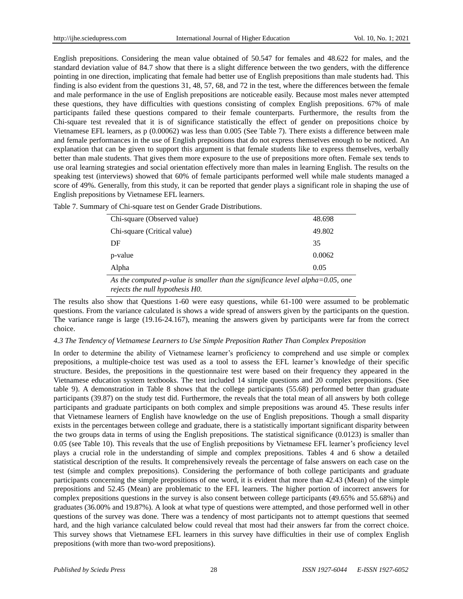English prepositions. Considering the mean value obtained of 50.547 for females and 48.622 for males, and the standard deviation value of 84.7 show that there is a slight difference between the two genders, with the difference pointing in one direction, implicating that female had better use of English prepositions than male students had. This finding is also evident from the questions 31, 48, 57, 68, and 72 in the test, where the differences between the female and male performance in the use of English prepositions are noticeable easily. Because most males never attempted these questions, they have difficulties with questions consisting of complex English prepositions. 67% of male participants failed these questions compared to their female counterparts. Furthermore, the results from the Chi-square test revealed that it is of significance statistically the effect of gender on prepositions choice by Vietnamese EFL learners, as p (0.00062) was less than 0.005 (See Table 7). There exists a difference between male and female performances in the use of English prepositions that do not express themselves enough to be noticed. An explanation that can be given to support this argument is that female students like to express themselves, verbally better than male students. That gives them more exposure to the use of prepositions more often. Female sex tends to use oral learning strategies and social orientation effectively more than males in learning English. The results on the speaking test (interviews) showed that 60% of female participants performed well while male students managed a score of 49%. Generally, from this study, it can be reported that gender plays a significant role in shaping the use of English prepositions by Vietnamese EFL learners.

|  |  |  |  |  | Table 7. Summary of Chi-square test on Gender Grade Distributions. |
|--|--|--|--|--|--------------------------------------------------------------------|
|--|--|--|--|--|--------------------------------------------------------------------|

| Chi-square (Observed value) | 48.698 |
|-----------------------------|--------|
|                             |        |
| Chi-square (Critical value) | 49.802 |
|                             |        |
| DF                          | 35     |
| p-value                     | 0.0062 |
|                             |        |
| Alpha                       | 0.05   |
|                             |        |

*As the computed p-value is smaller than the significance level alpha=0.05, one rejects the null hypothesis H0.*

The results also show that Questions 1-60 were easy questions, while 61-100 were assumed to be problematic questions. From the variance calculated is shows a wide spread of answers given by the participants on the question. The variance range is large (19.16-24.167), meaning the answers given by participants were far from the correct choice.

#### *4.3 The Tendency of Vietnamese Learners to Use Simple Preposition Rather Than Complex Preposition*

In order to determine the ability of Vietnamese learner's proficiency to comprehend and use simple or complex prepositions, a multiple-choice test was used as a tool to assess the EFL learner's knowledge of their specific structure. Besides, the prepositions in the questionnaire test were based on their frequency they appeared in the Vietnamese education system textbooks. The test included 14 simple questions and 20 complex prepositions. (See table 9). A demonstration in Table 8 shows that the college participants (55.68) performed better than graduate participants (39.87) on the study test did. Furthermore, the reveals that the total mean of all answers by both college participants and graduate participants on both complex and simple prepositions was around 45. These results infer that Vietnamese learners of English have knowledge on the use of English prepositions. Though a small disparity exists in the percentages between college and graduate, there is a statistically important significant disparity between the two groups data in terms of using the English prepositions. The statistical significance (0.0123) is smaller than 0.05 (see Table 10). This reveals that the use of English prepositions by Vietnamese EFL learner's proficiency level plays a crucial role in the understanding of simple and complex prepositions. Tables 4 and 6 show a detailed statistical description of the results. It comprehensively reveals the percentage of false answers on each case on the test (simple and complex prepositions). Considering the performance of both college participants and graduate participants concerning the simple prepositions of one word, it is evident that more than 42.43 (Mean) of the simple prepositions and 52.45 (Mean) are problematic to the EFL learners. The higher portion of incorrect answers for complex prepositions questions in the survey is also consent between college participants (49.65% and 55.68%) and graduates (36.00% and 19.87%). A look at what type of questions were attempted, and those performed well in other questions of the survey was done. There was a tendency of most participants not to attempt questions that seemed hard, and the high variance calculated below could reveal that most had their answers far from the correct choice. This survey shows that Vietnamese EFL learners in this survey have difficulties in their use of complex English prepositions (with more than two-word prepositions).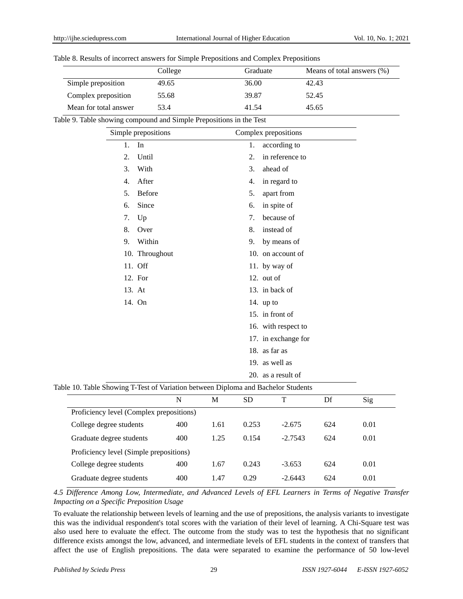Table 8. Results of incorrect answers for Simple Prepositions and Complex Prepositions

|                       | College | Graduate | Means of total answers $(\%)$ |
|-----------------------|---------|----------|-------------------------------|
| Simple preposition    | 49.65   | 36.00    | 42.43                         |
| Complex preposition   | 55.68   | 39.87    | 52.45                         |
| Mean for total answer | 53.4    | 41.54    | 45.65                         |

Table 9. Table showing compound and Simple Prepositions in the Test

|    | Simple prepositions                                                               |    | Complex prepositions |
|----|-----------------------------------------------------------------------------------|----|----------------------|
| 1. | In                                                                                | 1. | according to         |
| 2. | Until                                                                             | 2. | in reference to      |
| 3. | With                                                                              | 3. | ahead of             |
| 4. | After                                                                             | 4. | in regard to         |
| 5. | Before                                                                            | 5. | apart from           |
| 6. | Since                                                                             | 6. | in spite of          |
| 7. | Up                                                                                | 7. | because of           |
| 8. | Over                                                                              | 8. | instead of           |
| 9. | Within                                                                            | 9. | by means of          |
|    | 10. Throughout                                                                    |    | 10. on account of    |
|    | 11. Off                                                                           |    | 11. by way of        |
|    | 12. For                                                                           |    | 12. out of           |
|    | 13. At                                                                            |    | 13. in back of       |
|    | 14. On                                                                            |    | 14. up to            |
|    |                                                                                   |    | 15. in front of      |
|    |                                                                                   |    | 16. with respect to  |
|    |                                                                                   |    | 17. in exchange for  |
|    |                                                                                   |    | 18. as far as        |
|    |                                                                                   |    | 19. as well as       |
|    |                                                                                   |    | 20. as a result of   |
|    | Table 10. Table Showing T-Test of Variation between Diploma and Bachelor Students |    |                      |

|                                          | N   | M    | SD    | т         | Df  | Sig  |
|------------------------------------------|-----|------|-------|-----------|-----|------|
| Proficiency level (Complex prepositions) |     |      |       |           |     |      |
| College degree students                  | 400 | 1.61 | 0.253 | $-2.675$  | 624 | 0.01 |
| Graduate degree students                 | 400 | 1.25 | 0.154 | $-2.7543$ | 624 | 0.01 |
| Proficiency level (Simple prepositions)  |     |      |       |           |     |      |
| College degree students                  | 400 | 1.67 | 0.243 | $-3.653$  | 624 | 0.01 |
| Graduate degree students                 | 400 | 1.47 | 0.29  | $-2.6443$ | 624 | 0.01 |

*4.5 Difference Among Low, Intermediate, and Advanced Levels of EFL Learners in Terms of Negative Transfer Impacting on a Specific Preposition Usage*

To evaluate the relationship between levels of learning and the use of prepositions, the analysis variants to investigate this was the individual respondent's total scores with the variation of their level of learning. A Chi-Square test was also used here to evaluate the effect. The outcome from the study was to test the hypothesis that no significant difference exists amongst the low, advanced, and intermediate levels of EFL students in the context of transfers that affect the use of English prepositions. The data were separated to examine the performance of 50 low-level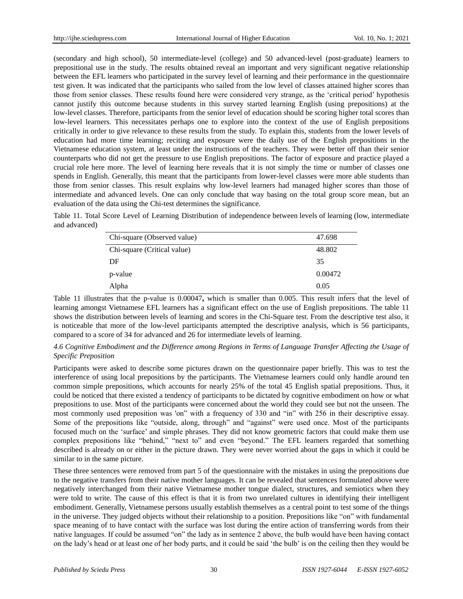(secondary and high school), 50 intermediate-level (college) and 50 advanced-level (post-graduate) learners to prepositional use in the study. The results obtained reveal an important and very significant negative relationship between the EFL learners who participated in the survey level of learning and their performance in the questionnaire test given. It was indicated that the participants who sailed from the low level of classes attained higher scores than those from senior classes. These results found here were considered very strange, as the 'critical period' hypothesis cannot justify this outcome because students in this survey started learning English (using prepositions) at the low-level classes. Therefore, participants from the senior level of education should be scoring higher total scores than low-level learners. This necessitates perhaps one to explore into the context of the use of English prepositions critically in order to give relevance to these results from the study. To explain this, students from the lower levels of education had more time learning; reciting and exposure were the daily use of the English prepositions in the Vietnamese education system, at least under the instructions of the teachers. They were better off than their senior counterparts who did not get the pressure to use English prepositions. The factor of exposure and practice played a crucial role here more. The level of learning here reveals that it is not simply the time or number of classes one spends in English. Generally, this meant that the participants from lower-level classes were more able students than those from senior classes. This result explains why low-level learners had managed higher scores than those of intermediate and advanced levels. One can only conclude that way basing on the total group score mean, but an evaluation of the data using the Chi-test determines the significance.

Table 11. Total Score Level of Learning Distribution of independence between levels of learning (low, intermediate and advanced)

| Chi-square (Observed value) | 47.698  |
|-----------------------------|---------|
| Chi-square (Critical value) | 48.802  |
| DF                          | 35      |
| p-value                     | 0.00472 |
| Alpha                       | 0.05    |

Table 11 illustrates that the p-value is 0.00047**,** which is smaller than 0.005. This result infers that the level of learning amongst Vietnamese EFL learners has a significant effect on the use of English prepositions. The table 11 shows the distribution between levels of learning and scores in the Chi-Square test. From the descriptive test also, it is noticeable that more of the low-level participants attempted the descriptive analysis, which is 56 participants, compared to a score of 34 for advanced and 26 for intermediate levels of learning.

## *4.6 Cognitive Embodiment and the Difference among Regions in Terms of Language Transfer Affecting the Usage of Specific Preposition*

Participants were asked to describe some pictures drawn on the questionnaire paper briefly. This was to test the interference of using local prepositions by the participants. The Vietnamese learners could only handle around ten common simple prepositions, which accounts for nearly 25% of the total 45 English spatial prepositions. Thus, it could be noticed that there existed a tendency of participants to be dictated by cognitive embodiment on how or what prepositions to use. Most of the participants were concerned about the world they could see but not the unseen. The most commonly used preposition was 'on" with a frequency of 330 and "in" with 256 in their descriptive essay. Some of the prepositions like "outside, along, through" and "against" were used once. Most of the participants focused much on the 'surface' and simple phrases. They did not know geometric factors that could make them use complex prepositions like "behind," "next to" and even "beyond." The EFL learners regarded that something described is already on or either in the picture drawn. They were never worried about the gaps in which it could be similar to in the same picture.

These three sentences were removed from part 5 of the questionnaire with the mistakes in using the prepositions due to the negative transfers from their native mother languages. It can be revealed that sentences formulated above were negatively interchanged from their native Vietnamese mother tongue dialect, structures, and semiotics when they were told to write. The cause of this effect is that it is from two unrelated cultures in identifying their intelligent embodiment. Generally, Vietnamese persons usually establish themselves as a central point to test some of the things in the universe. They judged objects without their relationship to a position. Prepositions like "on" with fundamental space meaning of to have contact with the surface was lost during the entire action of transferring words from their native languages. If could be assumed "on" the lady as in sentence 2 above, the bulb would have been having contact on the lady's head or at least one of her body parts, and it could be said 'the bulb' is on the ceiling then they would be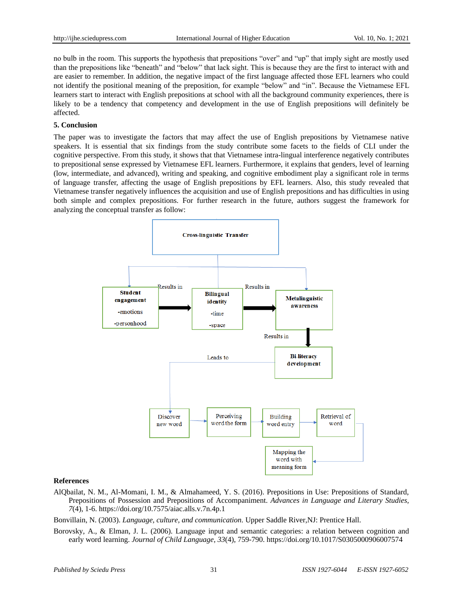no bulb in the room. This supports the hypothesis that prepositions "over" and "up" that imply sight are mostly used than the prepositions like "beneath" and "below" that lack sight. This is because they are the first to interact with and are easier to remember. In addition, the negative impact of the first language affected those EFL learners who could not identify the positional meaning of the preposition, for example "below" and "in". Because the Vietnamese EFL learners start to interact with English prepositions at school with all the background community experiences, there is likely to be a tendency that competency and development in the use of English prepositions will definitely be affected.

#### **5. Conclusion**

The paper was to investigate the factors that may affect the use of English prepositions by Vietnamese native speakers. It is essential that six findings from the study contribute some facets to the fields of CLI under the cognitive perspective. From this study, it shows that that Vietnamese intra-lingual interference negatively contributes to prepositional sense expressed by Vietnamese EFL learners. Furthermore, it explains that genders, level of learning (low, intermediate, and advanced), writing and speaking, and cognitive embodiment play a significant role in terms of language transfer, affecting the usage of English prepositions by EFL learners. Also, this study revealed that Vietnamese transfer negatively influences the acquisition and use of English prepositions and has difficulties in using both simple and complex prepositions. For further research in the future, authors suggest the framework for analyzing the conceptual transfer as follow:



#### **References**

AlQbailat, N. M., Al-Momani, I. M., & Almahameed, Y. S. (2016). Prepositions in Use: Prepositions of Standard, Prepositions of Possession and Prepositions of Accompaniment. *Advances in Language and Literary Studies, 7*(4), 1-6. https://doi.org/10.7575/aiac.alls.v.7n.4p.1

Bonvillain, N. (2003). *Language, culture, and communication.* Upper Saddle River,NJ: Prentice Hall.

Borovsky, A., & Elman, J. L. (2006). Language input and semantic categories: a relation between cognition and early word learning. *Journal of Child Language, 33*(4), 759-790. https://doi.org/10.1017/S0305000906007574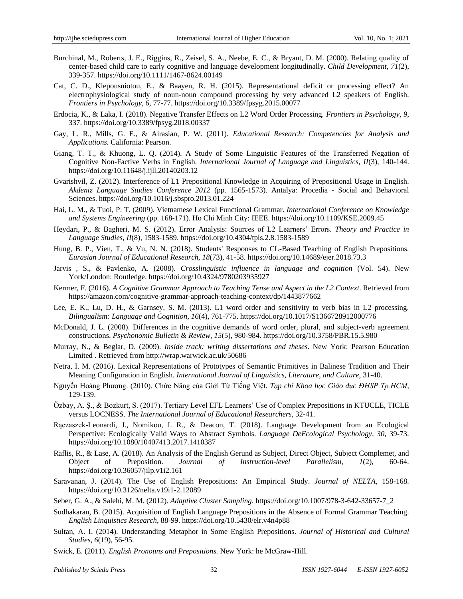- Burchinal, M., Roberts, J. E., Riggins, R., Zeisel, S. A., Neebe, E. C., & Bryant, D. M. (2000). Relating quality of center-based child care to early cognitive and language development longitudinally. *Child Development, 71*(2), 339-357. https://doi.org/10.1111/1467-8624.00149
- Cat, C. D., Klepousniotou, E., & Baayen, R. H. (2015). Representational deficit or processing effect? An electrophysiological study of noun-noun compound processing by very advanced L2 speakers of English. *Frontiers in Psychology, 6*, 77-77. https://doi.org/10.3389/fpsyg.2015.00077
- Erdocia, K., & Laka, I. (2018). Negative Transfer Effects on L2 Word Order Processing. *Frontiers in Psychology, 9*, 337. https://doi.org/10.3389/fpsyg.2018.00337
- Gay, L. R., Mills, G. E., & Airasian, P. W. (2011). *Educational Research: Competencies for Analysis and Applications.* California: Pearson.
- Giang, T. T., & Khuong, L. Q. (2014). A Study of Some Linguistic Features of the Transferred Negation of Cognitive Non-Factive Verbs in English. *International Journal of Language and Linguistics, II*(3), 140-144. https://doi.org/10.11648/j.ijll.20140203.12
- Gvarishvil, Z. (2012). Interference of L1 Prepositional Knowledge in Acquiring of Prepositional Usage in English. *Akdeniz Language Studies Conference 2012* (pp. 1565-1573). Antalya: Procedia - Social and Behavioral Sciences. https://doi.org/10.1016/j.sbspro.2013.01.224
- Hai, L. M., & Tuoi, P. T. (2009). Vietnamese Lexical Functional Grammar. *International Conference on Knowledge and Systems Engineering* (pp. 168-171). Ho Chi Minh City: IEEE. https://doi.org/10.1109/KSE.2009.45
- Heydari, P., & Bagheri, M. S. (2012). Error Analysis: Sources of L2 Learners' Errors. *Theory and Practice in Language Studies, II*(8), 1583-1589. https://doi.org/10.4304/tpls.2.8.1583-1589
- Hung, B. P., Vien, T., & Vu, N. N. (2018). Students' Responses to CL-Based Teaching of English Prepositions. *Eurasian Journal of Educational Research, 18*(73), 41-58. https://doi.org/10.14689/ejer.2018.73.3
- Jarvis , S., & Pavlenko, A. (2008). *Crosslinguistic influence in language and cognition* (Vol. 54). New York/London: Routledge. https://doi.org/10.4324/9780203935927
- Kermer, F. (2016). *A Cognitive Grammar Approach to Teaching Tense and Aspect in the L2 Context*. Retrieved from https://amazon.com/cognitive-grammar-approach-teaching-context/dp/1443877662
- Lee, E. K., Lu, D. H., & Garnsey, S. M. (2013). L1 word order and sensitivity to verb bias in L2 processing. *Bilingualism: Language and Cognition, 16*(4), 761-775. https://doi.org/10.1017/S1366728912000776
- McDonald, J. L. (2008). Differences in the cognitive demands of word order, plural, and subject-verb agreement constructions. *Psychonomic Bulletin & Review, 15*(5), 980-984. https://doi.org/10.3758/PBR.15.5.980
- Murray, N., & Beglar, D. (2009). *Inside track: writing dissertations and theses.* New York: Pearson Education Limited . Retrieved from http://wrap.warwick.ac.uk/50686
- Netra, I. M. (2016). Lexical Representations of Prototypes of Semantic Primitives in Balinese Tradition and Their Meaning Configuration in English. *International Journal of Linguistics, Literature, and Culture*, 31-40.
- Nguyễn Hoàng Phương. (2010). Chức Năng của Giới Từ Tiếng Việt. *Tạp chí Khoa học Giáo dục ĐHSP Tp.HCM*, 129-139.
- Özbay, A. Ş., & Bozkurt, S. (2017). Tertiary Level EFL Learners' Use of Complex Prepositions in KTUCLE, TICLE versus LOCNESS. *The International Journal of Educational Researchers*, 32-41.
- Rączaszek-Leonardi, J., Nomikou, I. R., & Deacon, T. (2018). Language Development from an Ecological Perspective: Ecologically Valid Ways to Abstract Symbols. *Language DeEcological Psychology, 30*, 39-73. https://doi.org/10.1080/10407413.2017.1410387
- Raflis, R., & Lase, A. (2018). An Analysis of the English Gerund as Subject, Direct Object, Subject Complemet, and Object of Preposition. *Journal of Instruction-level Parallelism, 1*(2), 60-64. https://doi.org/10.36057/jilp.v1i2.161
- Saravanan, J. (2014). The Use of English Prepositions: An Empirical Study. *Journal of NELTA*, 158-168. https://doi.org/10.3126/nelta.v19i1-2.12089
- Seber, G. A., & Salehi, M. M. (2012). *Adaptive Cluster Sampling*. https://doi.org/10.1007/978-3-642-33657-7\_2
- Sudhakaran, B. (2015). Acquisition of English Language Prepositions in the Absence of Formal Grammar Teaching. *English Linguistics Research*, 88-99. https://doi.org/10.5430/elr.v4n4p88
- Sultan, A. I. (2014). Understanding Metaphor in Some English Prepositions. *Journal of Historical and Cultural Studies, 6*(19), 56-95.
- Swick, E. (2011). *English Pronouns and Prepositions.* New York: he McGraw-Hill.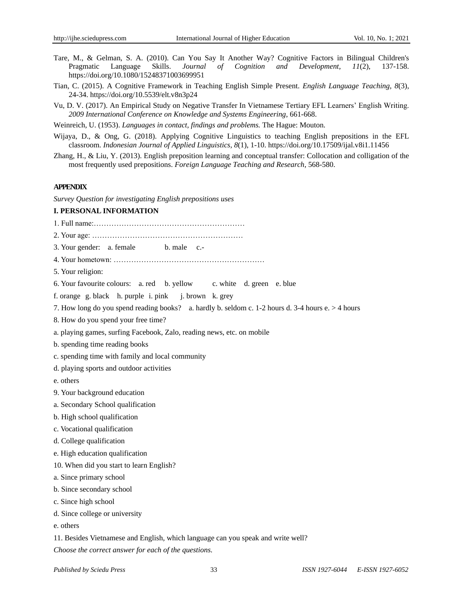Tare, M., & Gelman, S. A. (2010). Can You Say It Another Way? Cognitive Factors in Bilingual Children's Pragmatic Language Skills. *Journal of Cognition and Development, 11*(2), 137-158. https://doi.org/10.1080/15248371003699951

- Tian, C. (2015). A Cognitive Framework in Teaching English Simple Present. *English Language Teaching, 8*(3), 24-34. https://doi.org/10.5539/elt.v8n3p24
- Vu, D. V. (2017). An Empirical Study on Negative Transfer In Vietnamese Tertiary EFL Learners' English Writing. *2009 International Conference on Knowledge and Systems Engineering*, 661-668.

Weinreich, U. (1953). *Languages in contact, findings and problems.* The Hague: Mouton.

- Wijaya, D., & Ong, G. (2018). Applying Cognitive Linguistics to teaching English prepositions in the EFL classroom. *Indonesian Journal of Applied Linguistics, 8*(1), 1-10. https://doi.org/10.17509/ijal.v8i1.11456
- Zhang, H., & Liu, Y. (2013). English preposition learning and conceptual transfer: Collocation and colligation of the most frequently used prepositions. *Foreign Language Teaching and Research*, 568-580.

#### **APPENDIX**

*Survey Question for investigating English prepositions uses*

#### **I. PERSONAL INFORMATION**

1. Full name:……………………………………………………

2. Your age: ……………………………………………………

3. Your gender: a. female b. male c.-

4. Your hometown: ……………………………………………………

5. Your religion:

6. Your favourite colours: a. red b. yellow c. white d. green e. blue

f. orange g. black h. purple i. pink j. brown k. grey

7. How long do you spend reading books? a. hardly b. seldom c. 1-2 hours d. 3-4 hours e. > 4 hours

8. How do you spend your free time?

a. playing games, surfing Facebook, Zalo, reading news, etc. on mobile

b. spending time reading books

c. spending time with family and local community

d. playing sports and outdoor activities

e. others

9. Your background education

a. Secondary School qualification

- b. High school qualification
- c. Vocational qualification
- d. College qualification
- e. High education qualification
- 10. When did you start to learn English?
- a. Since primary school
- b. Since secondary school
- c. Since high school
- d. Since college or university

e. others

11. Besides Vietnamese and English, which language can you speak and write well?

*Choose the correct answer for each of the questions.*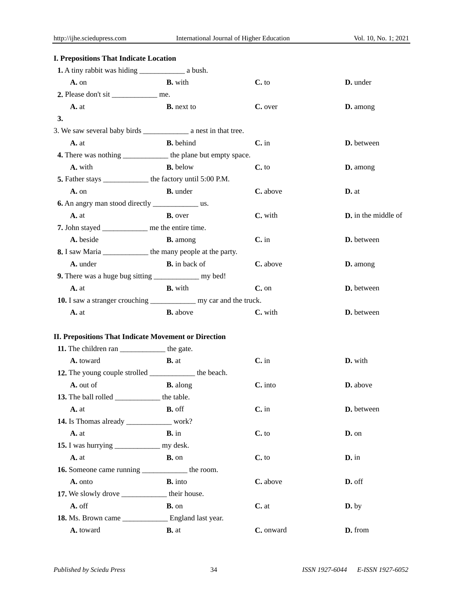| r. I repositions That Indicate Location                                |                      |           |                     |
|------------------------------------------------------------------------|----------------------|-----------|---------------------|
|                                                                        |                      |           |                     |
| A. on                                                                  | <b>B.</b> with       | $C.$ to   | D. under            |
| 2. Please don't sit ________________ me.                               |                      |           |                     |
| A. at                                                                  | <b>B.</b> next to    | C. over   | D. among            |
| 3.                                                                     |                      |           |                     |
|                                                                        |                      |           |                     |
| A. at                                                                  | <b>B.</b> behind     | $C$ . in  | <b>D.</b> between   |
| <b>4.</b> There was nothing _______________ the plane but empty space. |                      |           |                     |
| A. with                                                                | <b>B.</b> below      | $C.$ to   | D. among            |
| 5. Father stays _______________ the factory until 5:00 P.M.            |                      |           |                     |
| A. on                                                                  | <b>B.</b> under      | C. above  | $D.$ at             |
|                                                                        |                      |           |                     |
| A. at                                                                  | <b>B.</b> over       | C. with   | D. in the middle of |
| 7. John stayed ____________ me the entire time.                        |                      |           |                     |
| A. beside                                                              | <b>B.</b> among      | $C$ , in  | D. between          |
| 8. I saw Maria _______________ the many people at the party.           |                      |           |                     |
| A. under                                                               | <b>B.</b> in back of | C. above  | D. among            |
|                                                                        |                      |           |                     |
| A. at                                                                  | <b>B.</b> with       | $C.$ on   | D. between          |
| 10. I saw a stranger crouching _______________ my car and the truck.   |                      |           |                     |
| A. at                                                                  | <b>B.</b> above      | C. with   | D. between          |
|                                                                        |                      |           |                     |
| <b>II. Prepositions That Indicate Movement or Direction</b>            |                      |           |                     |
| 11. The children ran ________________ the gate.                        |                      |           |                     |
| A. toward                                                              | <b>B.</b> at         | $C$ . in  | D. with             |
| 12. The young couple strolled ______________ the beach.                |                      |           |                     |
| A. out of                                                              | <b>B.</b> along      | C. into   | D. above            |
| 13. The ball rolled _____________________ the table.                   |                      |           |                     |
| A. at                                                                  | <b>B.</b> off        | $C$ . in  | D. between          |
| 14. Is Thomas already ______________ work?                             |                      |           |                     |
| A. at                                                                  | $B$ , in             | $C.$ to   | D. on               |
|                                                                        |                      |           |                     |
| A. at                                                                  | <b>B.</b> on         | C. to     | $D.$ in             |
| 16. Someone came running ______________ the room.                      |                      |           |                     |
| A. onto                                                                | <b>B.</b> into       | C. above  | D. off              |
| 17. We slowly drove _____________ their house.                         |                      |           |                     |
| A. off                                                                 | <b>B.</b> on         | $C.$ at   | $\mathbf{D}$ , by   |
| 18. Ms. Brown came _______________ England last year.                  |                      |           |                     |
| A. toward                                                              | <b>B.</b> at         | C. onward | D. from             |

# **I. Prepositions That Indicate Location**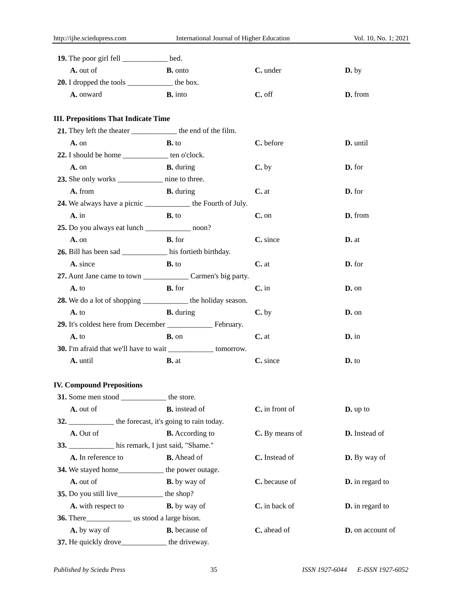| 19. The poor girl fell ______________ bed.                          |                        |                |                  |
|---------------------------------------------------------------------|------------------------|----------------|------------------|
| A. out of                                                           | <b>B.</b> onto         | C. under       | $D.$ by          |
| 20. I dropped the tools _______________ the box.                    |                        |                |                  |
| A. onward                                                           | <b>B.</b> into         | C. off         | D. from          |
| <b>III. Prepositions That Indicate Time</b>                         |                        |                |                  |
| 21. They left the theater ______________ the end of the film.       |                        |                |                  |
| A. on                                                               | <b>B.</b> to           | C. before      | D. until         |
| 22. I should be home ____________________ ten o'clock.              |                        |                |                  |
| A. on                                                               | <b>B.</b> during       | $C$ , by       | D. for           |
| 23. She only works _____________ nine to three.                     |                        |                |                  |
| A. from                                                             | <b>B.</b> during       | $C.$ at        | D. for           |
| 24. We always have a picnic ______________ the Fourth of July.      |                        |                |                  |
| $A$ . in                                                            | $B$ , to               | C. on          | D. from          |
| 25. Do you always eat lunch _________________ noon?                 |                        |                |                  |
| A. on                                                               | <b>B.</b> for          | C. since       | $D.$ at          |
| 26. Bill has been sad _________ his fortieth birthday.              |                        |                |                  |
| A. since                                                            | <b>B.</b> to           | $C.$ at        | D. for           |
| 27. Aunt Jane came to town ____________________ Carmen's big party. |                        |                |                  |
| A. to                                                               | <b>B.</b> for          | $C$ . in       | D. on            |
| 28. We do a lot of shopping ______________ the holiday season.      |                        |                |                  |
| A. to                                                               | <b>B.</b> during       | $C.$ by        | $D.$ on          |
|                                                                     |                        |                |                  |
| $A$ . to                                                            | <b>B.</b> on           | $C.$ at        | $D.$ in          |
| 30. I'm afraid that we'll have to wait ______________ tomorrow.     |                        |                |                  |
| A. until                                                            | <b>B.</b> at           | C. since       | $D.$ to          |
| <b>IV. Compound Prepositions</b>                                    |                        |                |                  |
| 31. Some men stood __________ the store.                            |                        |                |                  |
| A. out of                                                           | <b>B.</b> instead of   | C. in front of | $D.$ up to       |
| 32. ______________ the forecast, it's going to rain today.          |                        |                |                  |
| A. Out of                                                           | <b>B.</b> According to | C. By means of | D. Instead of    |
| 33. ____________ his remark, I just said, "Shame."                  |                        |                |                  |
| A. In reference to                                                  | <b>B.</b> Ahead of     | C. Instead of  | D. By way of     |
| 34. We stayed home______________ the power outage.                  |                        |                |                  |
| A. out of                                                           | <b>B.</b> by way of    | C. because of  | D. in regard to  |
| 35. Do you still live__________________ the shop?                   |                        |                |                  |
| A. with respect to                                                  | <b>B.</b> by way of    | C. in back of  | D. in regard to  |
|                                                                     |                        |                |                  |
| A. by way of                                                        | <b>B.</b> because of   | C. ahead of    | D. on account of |
|                                                                     | the driveway.          |                |                  |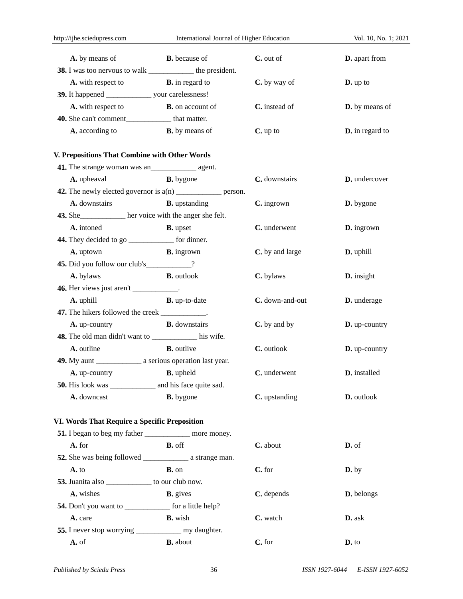| http://ijhe.sciedupress.com                                         | International Journal of Higher Education |                 | Vol. 10, No. 1; 2021 |  |
|---------------------------------------------------------------------|-------------------------------------------|-----------------|----------------------|--|
| <b>A.</b> by means of <b>B.</b> because of                          |                                           | C. out of       | D. apart from        |  |
| 38. I was too nervous to walk ______________ the president.         |                                           |                 |                      |  |
| <b>A.</b> with respect to <b>B.</b> in regard to                    |                                           | C. by way of    | $D.$ up to           |  |
|                                                                     |                                           |                 |                      |  |
| <b>A.</b> with respect to <b>B.</b> on account of                   |                                           | C. instead of   | D. by means of       |  |
| 40. She can't comment____________________ that matter.              |                                           |                 |                      |  |
| A. according to                                                     | <b>B.</b> by means of                     | $C$ . up to     | D. in regard to      |  |
| V. Prepositions That Combine with Other Words                       |                                           |                 |                      |  |
| 41. The strange woman was an<br><u>equal</u> agent.                 |                                           |                 |                      |  |
| <b>A.</b> upheaval <b>B.</b> bygone                                 |                                           | C. downstairs   | D. undercover        |  |
| <b>42.</b> The newly elected governor is a(n) _____________ person. |                                           |                 |                      |  |
| A. downstairs                                                       | <b>B.</b> upstanding                      | C. ingrown      | D. bygone            |  |
| 43. She her voice with the anger she felt.                          |                                           |                 |                      |  |
| A. intoned                                                          | <b>B.</b> upset                           | C. underwent    | D. ingrown           |  |
| 44. They decided to go ________________ for dinner.                 |                                           |                 |                      |  |
| A. uptown                                                           | <b>B.</b> ingrown                         | C. by and large | D. uphill            |  |
| 45. Did you follow our club's _________?                            |                                           |                 |                      |  |
| A. bylaws                                                           | <b>B.</b> outlook                         | C. bylaws       | <b>D.</b> insight    |  |
| 46. Her views just aren't ____________.                             |                                           |                 |                      |  |
| <b>A.</b> uphill                                                    | <b>B.</b> up-to-date                      | C. down-and-out | D. underage          |  |
| 47. The hikers followed the creek ___________.                      |                                           |                 |                      |  |
| A. up-country <b>B.</b> downstairs                                  |                                           | C. by and by    | D. up-country        |  |
| <b>48.</b> The old man didn't want to _______________ his wife.     |                                           |                 |                      |  |
| A. outline                                                          | <b>B.</b> outlive                         | C. outlook      | D. up-country        |  |
|                                                                     |                                           |                 |                      |  |
| A. up-country                                                       | <b>B.</b> upheld                          | C. underwent    | D. installed         |  |
|                                                                     |                                           |                 |                      |  |
| A. downcast                                                         | <b>B.</b> bygone                          | C. upstanding   | D. outlook           |  |
| VI. Words That Require a Specific Preposition                       |                                           |                 |                      |  |
| 51. I began to beg my father ______________ more money.             |                                           |                 |                      |  |
| A. for                                                              | <b>B.</b> off                             | C. about        | $\mathbf{D}$ . of    |  |
|                                                                     |                                           |                 |                      |  |
| A. to                                                               | <b>B.</b> on                              | C. for          | $\mathbf{D}$ , by    |  |
| 53. Juanita also _____________ to our club now.                     |                                           |                 |                      |  |
| A. wishes                                                           | <b>B.</b> gives                           | C. depends      | D. belongs           |  |
| 54. Don't you want to ____________________ for a little help?       |                                           |                 |                      |  |
| A. care                                                             | <b>B.</b> wish                            | C. watch        | D. ask               |  |
| 55. I never stop worrying _______________ my daughter.              |                                           |                 |                      |  |
| A. of                                                               | <b>B.</b> about                           | C. for          | D. to                |  |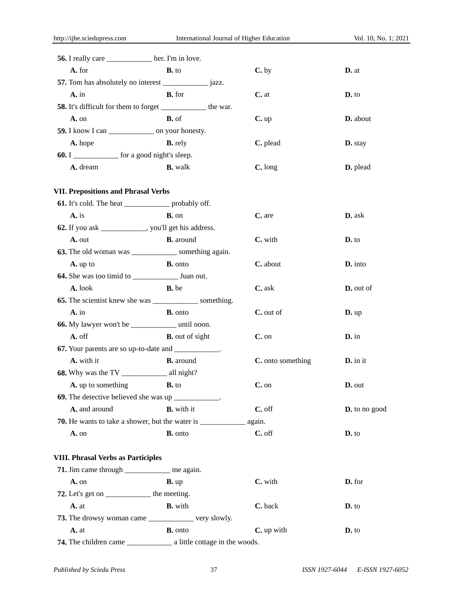| <b>56.</b> I really care ____________ her. I'm in love.       |                                                                       |                   |                      |
|---------------------------------------------------------------|-----------------------------------------------------------------------|-------------------|----------------------|
| A. for                                                        | B. to                                                                 | $C.$ by           | $D. at$              |
|                                                               |                                                                       |                   |                      |
| $A$ . in                                                      | <b>B.</b> for                                                         | $C$ . at          | $D$ , to             |
|                                                               | <b>58.</b> It's difficult for them to forget _______________ the war. |                   |                      |
| $A.$ on                                                       | B. of                                                                 | $C.$ up           | D. about             |
|                                                               |                                                                       |                   |                      |
| A. hope                                                       | <b>B.</b> rely                                                        | C. plead          | D. stay              |
| <b>60.</b> I ________________ for a good night's sleep.       |                                                                       |                   |                      |
| A. dream                                                      | <b>B.</b> walk                                                        | $C.$ long         | D. plead             |
| <b>VII. Prepositions and Phrasal Verbs</b>                    |                                                                       |                   |                      |
| <b>61.</b> It's cold. The heat <u>examenes probably off</u> . |                                                                       |                   |                      |
| A. is                                                         | <b>B.</b> on                                                          | C. are            | D. ask               |
| 62. If you ask ____________, you'll get his address.          |                                                                       |                   |                      |
| A. out                                                        | <b>B.</b> around                                                      | C. with           | $D$ , to             |
|                                                               | <b>63.</b> The old woman was _______________ something again.         |                   |                      |
| A. up to                                                      | <b>B.</b> onto                                                        | C. about          | $D.$ into            |
|                                                               |                                                                       |                   |                      |
| A. look                                                       | <b>B.</b> be                                                          | C. ask            | D. out of            |
|                                                               | 65. The scientist knew she was ________________ something.            |                   |                      |
| $A$ . in                                                      | <b>B.</b> onto                                                        | C. out of         | $D. up$              |
| 66. My lawyer won't be ______________ until noon.             |                                                                       |                   |                      |
| A. off                                                        | <b>B.</b> out of sight                                                | $C.$ on           | $\mathbf{D}$ , in    |
| 67. Your parents are so up-to-date and ___________.           |                                                                       |                   |                      |
| A. with it                                                    | <b>B.</b> around                                                      | C. onto something | $\mathbf{D}$ , in it |
|                                                               |                                                                       |                   |                      |
| A. up to something                                            | $B. to$                                                               | $C.$ on           | D. out               |
| <b>69.</b> The detective believed she was up ____________.    |                                                                       |                   |                      |
| A. and around                                                 | <b>B.</b> with it                                                     | C. off            | D. to no good        |
|                                                               |                                                                       | again.            |                      |
| A. on                                                         | B. onto                                                               | C. off            | $D.$ to              |
| <b>VIII. Phrasal Verbs as Participles</b>                     |                                                                       |                   |                      |
| 71. Jim came through _______________ me again.                |                                                                       |                   |                      |
| A. on                                                         | $B.$ up                                                               | C. with           | D. for               |
|                                                               |                                                                       |                   |                      |
| A. at                                                         | <b>B.</b> with                                                        | C. back           | $D.$ to              |
|                                                               | 73. The drowsy woman came _____________ very slowly.                  |                   |                      |
| A. at                                                         | B. onto                                                               | C. up with        | D. to                |
|                                                               |                                                                       |                   |                      |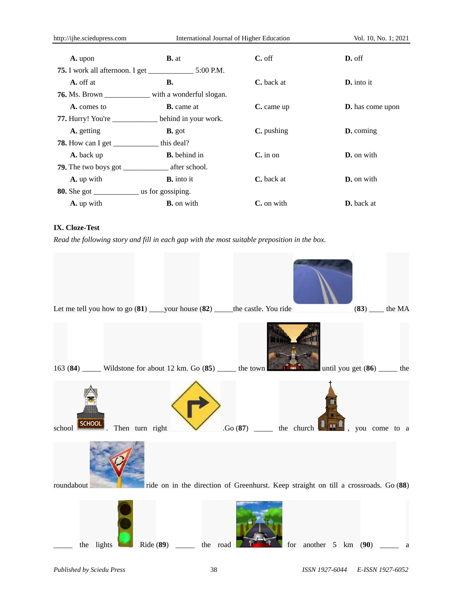| A. upon           | <b>B.</b> at                                                    | $C.$ off      | $\mathbf{D}$ , off      |
|-------------------|-----------------------------------------------------------------|---------------|-------------------------|
|                   |                                                                 |               |                         |
| A. off at         | <b>B.</b>                                                       | C. back at    | $\mathbf{D}$ , into it  |
|                   | <b>76.</b> Ms. Brown _________________ with a wonderful slogan. |               |                         |
| A. comes to       | <b>B.</b> came at                                               | $C$ . came up | <b>D.</b> has come upon |
|                   | 77. Hurry! You're _________________ behind in your work.        |               |                         |
| A. getting        | <b>B.</b> got                                                   | $C.$ pushing  | <b>D.</b> coming        |
|                   |                                                                 |               |                         |
| A. back up        | <b>B.</b> behind in                                             | $C$ , in on   | <b>D.</b> on with       |
|                   |                                                                 |               |                         |
| <b>A.</b> up with | <b>B.</b> into it                                               | C. back at    | <b>D.</b> on with       |
|                   |                                                                 |               |                         |
| <b>A.</b> up with | <b>B.</b> on with                                               | C. on with    | <b>D.</b> back at       |

## **IX. Cloze-Test**

*Read the following story and fill in each gap with the most suitable preposition in the box.*

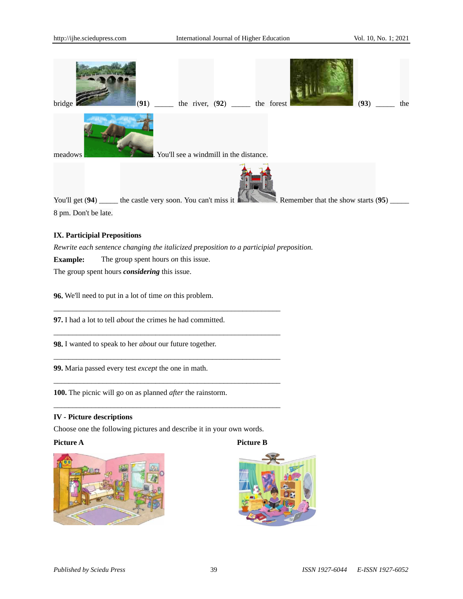

8 pm. Don't be late.

#### **IX. Participial Prepositions**

*Rewrite each sentence changing the italicized preposition to a participial preposition.*

\_\_\_\_\_\_\_\_\_\_\_\_\_\_\_\_\_\_\_\_\_\_\_\_\_\_\_\_\_\_\_\_\_\_\_\_\_\_\_\_\_\_\_\_\_\_\_\_\_\_\_\_\_\_\_\_\_\_\_\_

\_\_\_\_\_\_\_\_\_\_\_\_\_\_\_\_\_\_\_\_\_\_\_\_\_\_\_\_\_\_\_\_\_\_\_\_\_\_\_\_\_\_\_\_\_\_\_\_\_\_\_\_\_\_\_\_\_\_\_\_

\_\_\_\_\_\_\_\_\_\_\_\_\_\_\_\_\_\_\_\_\_\_\_\_\_\_\_\_\_\_\_\_\_\_\_\_\_\_\_\_\_\_\_\_\_\_\_\_\_\_\_\_\_\_\_\_\_\_\_\_

\_\_\_\_\_\_\_\_\_\_\_\_\_\_\_\_\_\_\_\_\_\_\_\_\_\_\_\_\_\_\_\_\_\_\_\_\_\_\_\_\_\_\_\_\_\_\_\_\_\_\_\_\_\_\_\_\_\_\_\_

\_\_\_\_\_\_\_\_\_\_\_\_\_\_\_\_\_\_\_\_\_\_\_\_\_\_\_\_\_\_\_\_\_\_\_\_\_\_\_\_\_\_\_\_\_\_\_\_\_\_\_\_\_\_\_\_\_\_\_\_

**Example:** The group spent hours *on* this issue.

The group spent hours *considering* this issue.

**96.** We'll need to put in a lot of time *on* this problem.

**97.** I had a lot to tell *about* the crimes he had committed.

**98.** I wanted to speak to her *about* our future together.

**99.** Maria passed every test *except* the one in math.

**100.** The picnic will go on as planned *after* the rainstorm.

## **IV - Picture descriptions**

Choose one the following pictures and describe it in your own words.

#### **Picture A Picture B**